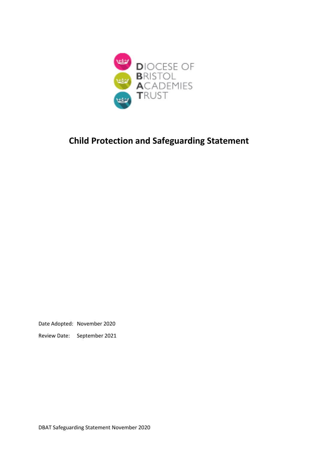

# **Child Protection and Safeguarding Statement**

Date Adopted: November 2020

Review Date: September 2021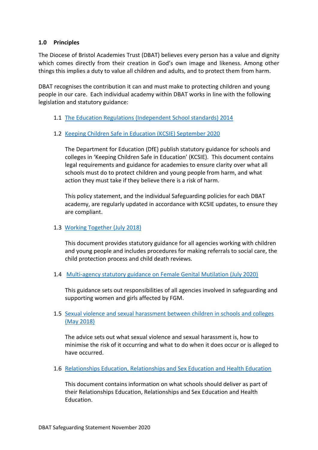#### **1.0 Principles**

The Diocese of Bristol Academies Trust (DBAT) believes every person has a value and dignity which comes directly from their creation in God's own image and likeness. Among other things this implies a duty to value all children and adults, and to protect them from harm.

DBAT recognises the contribution it can and must make to protecting children and young people in our care. Each individual academy within DBAT works in line with the following legislation and statutory guidance:

- 1.1 [The Education Regulations \(Independent School standards\) 2014](https://www.legislation.gov.uk/uksi/2014/3283/made)
- 1.2 [Keeping Children Safe in Education \(KCSIE\) September 2020](https://www.gov.uk/government/publications/keeping-children-safe-in-education--2)

The Department for Education (DfE) publish statutory guidance for schools and colleges in 'Keeping Children Safe in Education' (KCSIE). This document contains legal requirements and guidance for academies to ensure clarity over what all schools must do to protect children and young people from harm, and what action they must take if they believe there is a risk of harm.

This policy statement, and the individual Safeguarding policies for each DBAT academy, are regularly updated in accordance with KCSIE updates, to ensure they are compliant.

1.3 [Working Together](https://www.gov.uk/government/publications/working-together-to-safeguard-children--2) (July 2018)

This document provides statutory guidance for all agencies working with children and young people and includes procedures for making referrals to social care, the child protection process and child death reviews.

1.4 [Multi-agency statutory guidance on Female Genital Mutilation \(July 2020\)](https://www.gov.uk/government/publications/multi-agency-statutory-guidance-on-female-genital-mutilation)

This guidance sets out responsibilities of all agencies involved in safeguarding and supporting women and girls affected by FGM.

## 1.5 [Sexual violence and sexual harassment between children in schools and colleges](https://www.gov.uk/government/publications/sexual-violence-and-sexual-harassment-between-children-in-schools-and-colleges)  [\(May 2018\)](https://www.gov.uk/government/publications/sexual-violence-and-sexual-harassment-between-children-in-schools-and-colleges)

The advice sets out what sexual violence and sexual harassment is, how to minimise the risk of it occurring and what to do when it does occur or is alleged to have occurred.

1.6 [Relationships Education, Relationships and Sex Education and Health Education](https://www.gov.uk/government/publications/relationships-education-relationships-and-sex-education-rse-and-health-education)

This document contains information on what schools should deliver as part of their Relationships Education, Relationships and Sex Education and Health Education.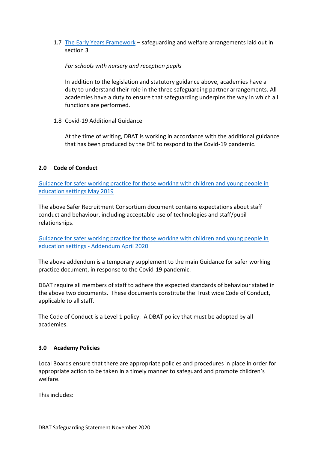1.7 [The Early Years Framework](https://www.gov.uk/government/publications/early-years-foundation-stage-framework--2) – safeguarding and welfare arrangements laid out in section 3

#### *For schools with nursery and reception pupils*

In addition to the legislation and statutory guidance above, academies have a duty to understand their role in the three safeguarding partner arrangements. All academies have a duty to ensure that safeguarding underpins the way in which all functions are performed.

1.8 Covid-19 Additional Guidance

At the time of writing, DBAT is working in accordance with the additional guidance that has been produced by the DfE to respond to the Covid-19 pandemic.

## **2.0 Code of Conduct**

[Guidance for safer working practice for those working with children and young people in](https://www.saferrecruitmentconsortium.org/GSWP%20Sept%202019.pdf)  [education settings May 2019](https://www.saferrecruitmentconsortium.org/GSWP%20Sept%202019.pdf) 

The above Safer Recruitment Consortium document contains expectations about staff conduct and behaviour, including acceptable use of technologies and staff/pupil relationships.

[Guidance for safer working practice for those working with children and young people in](https://www.saferrecruitmentconsortium.org/GSWP%20COVID%20addendum%20April%202020%20final-2.pdf)  education settings - [Addendum April 2020](https://www.saferrecruitmentconsortium.org/GSWP%20COVID%20addendum%20April%202020%20final-2.pdf)

The above addendum is a temporary supplement to the main Guidance for safer working practice document, in response to the Covid-19 pandemic.

DBAT require all members of staff to adhere the expected standards of behaviour stated in the above two documents. These documents constitute the Trust wide Code of Conduct, applicable to all staff.

The Code of Conduct is a Level 1 policy: A DBAT policy that must be adopted by all academies.

#### **3.0 Academy Policies**

Local Boards ensure that there are appropriate policies and procedures in place in order for appropriate action to be taken in a timely manner to safeguard and promote children's welfare.

This includes: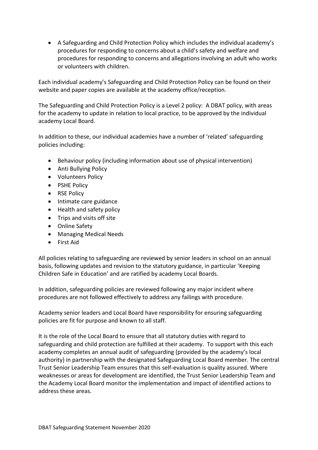• A Safeguarding and Child Protection Policy which includes the individual academy's procedures for responding to concerns about a child's safety and welfare and procedures for responding to concerns and allegations involving an adult who works or volunteers with children.

Each individual academy's Safeguarding and Child Protection Policy can be found on their website and paper copies are available at the academy office/reception.

The Safeguarding and Child Protection Policy is a Level 2 policy: A DBAT policy, with areas for the academy to update in relation to local practice, to be approved by the individual academy Local Board.

In addition to these, our individual academies have a number of 'related' safeguarding policies including:

- Behaviour policy (including information about use of physical intervention)
- Anti Bullying Policy
- Volunteers Policy
- PSHE Policy
- RSE Policy
- Intimate care guidance
- Health and safety policy
- Trips and visits off site
- Online Safety
- Managing Medical Needs
- First Aid

All policies relating to safeguarding are reviewed by senior leaders in school on an annual basis, following updates and revision to the statutory guidance, in particular 'Keeping Children Safe in Education' and are ratified by academy Local Boards.

In addition, safeguarding policies are reviewed following any major incident where procedures are not followed effectively to address any failings with procedure.

Academy senior leaders and Local Board have responsibility for ensuring safeguarding policies are fit for purpose and known to all staff.

It is the role of the Local Board to ensure that all statutory duties with regard to safeguarding and child protection are fulfilled at their academy. To support with this each academy completes an annual audit of safeguarding (provided by the academy's local authority) in partnership with the designated Safeguarding Local Board member. The central Trust Senior Leadership Team ensures that this self-evaluation is quality assured. Where weaknesses or areas for development are identified, the Trust Senior Leadership Team and the Academy Local Board monitor the implementation and impact of identified actions to address these areas.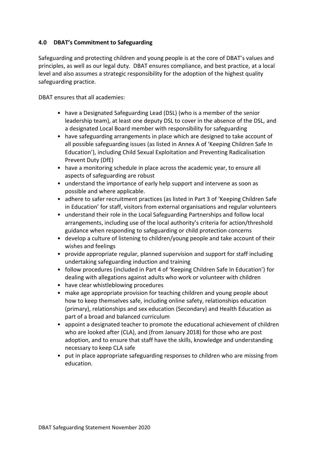## **4.0 DBAT's Commitment to Safeguarding**

Safeguarding and protecting children and young people is at the core of DBAT's values and principles, as well as our legal duty. DBAT ensures compliance, and best practice, at a local level and also assumes a strategic responsibility for the adoption of the highest quality safeguarding practice.

DBAT ensures that all academies:

- have a Designated Safeguarding Lead (DSL) (who is a member of the senior leadership team), at least one deputy DSL to cover in the absence of the DSL, and a designated Local Board member with responsibility for safeguarding
- have safeguarding arrangements in place which are designed to take account of all possible safeguarding issues (as listed in Annex A of 'Keeping Children Safe In Education'), including Child Sexual Exploitation and Preventing Radicalisation Prevent Duty (DfE)
- have a monitoring schedule in place across the academic year, to ensure all aspects of safeguarding are robust
- understand the importance of early help support and intervene as soon as possible and where applicable.
- adhere to safer recruitment practices (as listed in Part 3 of 'Keeping Children Safe in Education' for staff, visitors from external organisations and regular volunteers
- understand their role in the Local Safeguarding Partnerships and follow local arrangements, including use of the local authority's criteria for action/threshold guidance when responding to safeguarding or child protection concerns
- develop a culture of listening to children/young people and take account of their wishes and feelings
- provide appropriate regular, planned supervision and support for staff including undertaking safeguarding induction and training
- follow procedures (included in Part 4 of 'Keeping Children Safe In Education') for dealing with allegations against adults who work or volunteer with children
- have clear whistleblowing procedures
- make age appropriate provision for teaching children and young people about how to keep themselves safe, including online safety, relationships education (primary), relationships and sex education (Secondary) and Health Education as part of a broad and balanced curriculum
- appoint a designated teacher to promote the educational achievement of children who are looked after (CLA), and (from January 2018) for those who are post adoption, and to ensure that staff have the skills, knowledge and understanding necessary to keep CLA safe
- put in place appropriate safeguarding responses to children who are missing from education.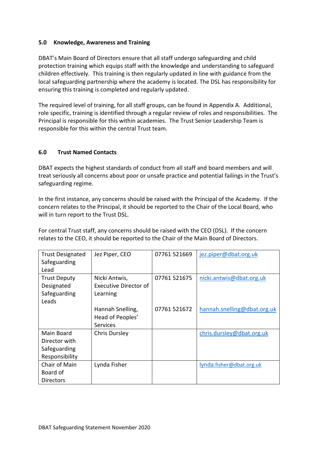## **5.0 Knowledge, Awareness and Training**

DBAT's Main Board of Directors ensure that all staff undergo safeguarding and child protection training which equips staff with the knowledge and understanding to safeguard children effectively. This training is then regularly updated in line with guidance from the local safeguarding partnership where the academy is located. The DSL has responsibility for ensuring this training is completed and regularly updated.

The required level of training, for all staff groups, can be found in Appendix A. Additional, role specific, training is identified through a regular review of roles and responsibilities. The Principal is responsible for this within academies. The Trust Senior Leadership Team is responsible for this within the central Trust team.

#### **6.0 Trust Named Contacts**

DBAT expects the highest standards of conduct from all staff and board members and will treat seriously all concerns about poor or unsafe practice and potential failings in the Trust's safeguarding regime.

In the first instance, any concerns should be raised with the Principal of the Academy. If the concern relates to the Principal, it should be reported to the Chair of the Local Board, who will in turn report to the Trust DSL.

For central Trust staff, any concerns should be raised with the CEO (DSL). If the concern relates to the CEO, it should be reported to the Chair of the Main Board of Directors.

| <b>Trust Designated</b> | Jez Piper, CEO               | 07761 521669 | jez.piper@dbat.org.uk       |
|-------------------------|------------------------------|--------------|-----------------------------|
| Safeguarding            |                              |              |                             |
| Lead                    |                              |              |                             |
| <b>Trust Deputy</b>     | Nicki Antwis,                | 07761 521675 | nicki.antwis@dbat.org.uk    |
| Designated              | <b>Executive Director of</b> |              |                             |
| Safeguarding            | Learning                     |              |                             |
| Leads                   |                              |              |                             |
|                         | Hannah Snelling,             | 07761 521672 | hannah.snelling@dbat.org.uk |
|                         | Head of Peoples'             |              |                             |
|                         | <b>Services</b>              |              |                             |
| Main Board              | <b>Chris Dursley</b>         |              | chris.dursley@dbat.org.uk   |
| Director with           |                              |              |                             |
| Safeguarding            |                              |              |                             |
| Responsibility          |                              |              |                             |
| Chair of Main           | Lynda Fisher                 |              | lynda.fisher@dbat.org.uk    |
| Board of                |                              |              |                             |
| Directors               |                              |              |                             |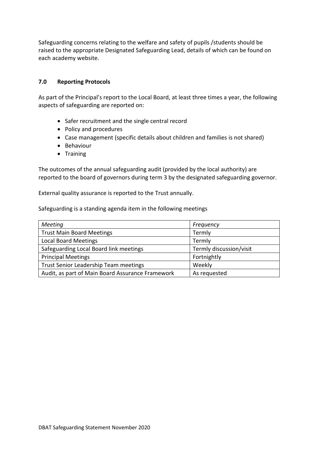Safeguarding concerns relating to the welfare and safety of pupils /students should be raised to the appropriate Designated Safeguarding Lead, details of which can be found on each academy website.

#### **7.0 Reporting Protocols**

As part of the Principal's report to the Local Board, at least three times a year, the following aspects of safeguarding are reported on:

- Safer recruitment and the single central record
- Policy and procedures
- Case management (specific details about children and families is not shared)
- Behaviour
- Training

The outcomes of the annual safeguarding audit (provided by the local authority) are reported to the board of governors during term 3 by the designated safeguarding governor.

External quality assurance is reported to the Trust annually.

Safeguarding is a standing agenda item in the following meetings

| <b>Meeting</b>                                   | Frequency               |
|--------------------------------------------------|-------------------------|
| <b>Trust Main Board Meetings</b>                 | Termly                  |
| <b>Local Board Meetings</b>                      | Termly                  |
| Safeguarding Local Board link meetings           | Termly discussion/visit |
| <b>Principal Meetings</b>                        | Fortnightly             |
| Trust Senior Leadership Team meetings            | Weekly                  |
| Audit, as part of Main Board Assurance Framework | As requested            |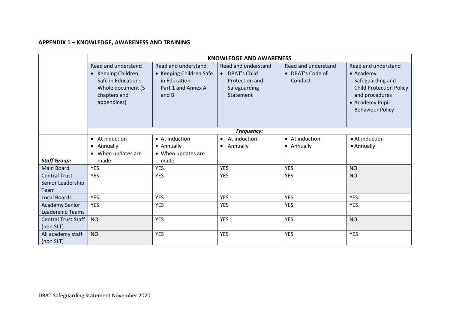# **APPENDIX 1 – KNOWLEDGE, AWARENESS AND TRAINING**

|                                | <b>KNOWLEDGE AND AWARENESS</b>                                                                                    |                                                                                                |                                                                                      |                                                    |                                                                                                                                                                |  |  |  |
|--------------------------------|-------------------------------------------------------------------------------------------------------------------|------------------------------------------------------------------------------------------------|--------------------------------------------------------------------------------------|----------------------------------------------------|----------------------------------------------------------------------------------------------------------------------------------------------------------------|--|--|--|
|                                | Read and understand<br>Keeping Children<br>Safe in Education:<br>Whole document (5<br>chapters and<br>appendices) | Read and understand<br>• Keeping Children Safe<br>in Education:<br>Part 1 and Annex A<br>and B | Read and understand<br>• DBAT's Child<br>Protection and<br>Safeguarding<br>Statement | Read and understand<br>• DBAT's Code of<br>Conduct | Read and understand<br>$\bullet$ Academy<br>Safeguarding and<br><b>Child Protection Policy</b><br>and procedures<br>• Academy Pupil<br><b>Behaviour Policy</b> |  |  |  |
|                                |                                                                                                                   |                                                                                                | Frequency:                                                                           |                                                    |                                                                                                                                                                |  |  |  |
|                                | • At induction                                                                                                    | • At induction                                                                                 | At induction<br>$\bullet$                                                            | • At induction                                     | • At induction                                                                                                                                                 |  |  |  |
|                                | • Annually                                                                                                        | • Annually                                                                                     | Annually<br>$\bullet$                                                                | • Annually                                         | • Annually                                                                                                                                                     |  |  |  |
|                                | • When updates are                                                                                                | • When updates are                                                                             |                                                                                      |                                                    |                                                                                                                                                                |  |  |  |
| <b>Staff Group:</b>            | made                                                                                                              | made                                                                                           |                                                                                      |                                                    |                                                                                                                                                                |  |  |  |
| Main Board                     | <b>YES</b>                                                                                                        | <b>YES</b>                                                                                     | <b>YES</b>                                                                           | <b>YES</b>                                         | <b>NO</b>                                                                                                                                                      |  |  |  |
| <b>Central Trust</b>           | <b>YES</b>                                                                                                        | <b>YES</b>                                                                                     | <b>YES</b>                                                                           | <b>YES</b>                                         | <b>NO</b>                                                                                                                                                      |  |  |  |
| Senior Leadership              |                                                                                                                   |                                                                                                |                                                                                      |                                                    |                                                                                                                                                                |  |  |  |
| Team                           |                                                                                                                   |                                                                                                |                                                                                      |                                                    |                                                                                                                                                                |  |  |  |
| <b>Local Boards</b>            | <b>YES</b>                                                                                                        | <b>YES</b>                                                                                     | <b>YES</b>                                                                           | <b>YES</b>                                         | <b>YES</b>                                                                                                                                                     |  |  |  |
| <b>Academy Senior</b>          | <b>YES</b>                                                                                                        | <b>YES</b>                                                                                     | <b>YES</b>                                                                           | <b>YES</b>                                         | <b>YES</b>                                                                                                                                                     |  |  |  |
| Leadership Teams               |                                                                                                                   |                                                                                                |                                                                                      |                                                    |                                                                                                                                                                |  |  |  |
| <b>Central Trust Staff</b>     | <b>NO</b>                                                                                                         | <b>YES</b>                                                                                     | <b>YES</b>                                                                           | <b>YES</b>                                         | <b>NO</b>                                                                                                                                                      |  |  |  |
| (non SLT)                      |                                                                                                                   |                                                                                                |                                                                                      |                                                    |                                                                                                                                                                |  |  |  |
| All academy staff<br>(non SLT) | <b>NO</b>                                                                                                         | <b>YES</b>                                                                                     | <b>YES</b>                                                                           | <b>YES</b>                                         | <b>YES</b>                                                                                                                                                     |  |  |  |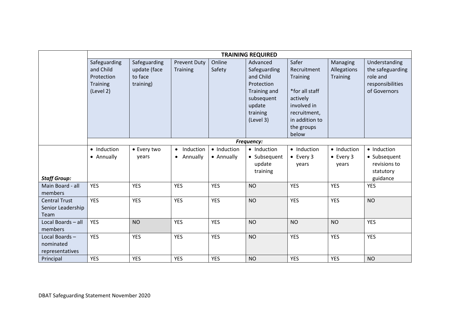|                                                          | <b>TRAINING REQUIRED</b>                                                |                                                      |                                                 |                           |                                                                                                                      |                                                                                                                                        |                                            |                                                                                   |
|----------------------------------------------------------|-------------------------------------------------------------------------|------------------------------------------------------|-------------------------------------------------|---------------------------|----------------------------------------------------------------------------------------------------------------------|----------------------------------------------------------------------------------------------------------------------------------------|--------------------------------------------|-----------------------------------------------------------------------------------|
|                                                          | Safeguarding<br>and Child<br>Protection<br><b>Training</b><br>(Level 2) | Safeguarding<br>update (face<br>to face<br>training) | <b>Prevent Duty</b><br>Training                 | Online<br>Safety          | Advanced<br>Safeguarding<br>and Child<br>Protection<br>Training and<br>subsequent<br>update<br>training<br>(Level 3) | Safer<br>Recruitment<br>Training<br>*for all staff<br>actively<br>involved in<br>recruitment,<br>in addition to<br>the groups<br>below | Managing<br>Allegations<br><b>Training</b> | Understanding<br>the safeguarding<br>role and<br>responsibilities<br>of Governors |
|                                                          |                                                                         | Frequency:                                           |                                                 |                           |                                                                                                                      |                                                                                                                                        |                                            |                                                                                   |
| <b>Staff Group:</b>                                      | • Induction<br>• Annually                                               | • Every two<br>years                                 | Induction<br>$\bullet$<br>Annually<br>$\bullet$ | • Induction<br>• Annually | • Induction<br>• Subsequent<br>update<br>training                                                                    | • Induction<br>$\bullet$ Every 3<br>years                                                                                              | • Induction<br>$\bullet$ Every 3<br>years  | • Induction<br>• Subsequent<br>revisions to<br>statutory<br>guidance              |
| Main Board - all<br>members                              | <b>YES</b>                                                              | <b>YES</b>                                           | <b>YES</b>                                      | <b>YES</b>                | <b>NO</b>                                                                                                            | <b>YES</b>                                                                                                                             | <b>YES</b>                                 | <b>YES</b>                                                                        |
| <b>Central Trust</b><br>Senior Leadership<br><b>Team</b> | <b>YES</b>                                                              | <b>YES</b>                                           | <b>YES</b>                                      | <b>YES</b>                | <b>NO</b>                                                                                                            | <b>YES</b>                                                                                                                             | <b>YES</b>                                 | <b>NO</b>                                                                         |
| Local Boards - all<br>members                            | <b>YES</b>                                                              | <b>NO</b>                                            | <b>YES</b>                                      | <b>YES</b>                | <b>NO</b>                                                                                                            | <b>NO</b>                                                                                                                              | <b>NO</b>                                  | <b>YES</b>                                                                        |
| Local Boards-<br>nominated<br>representatives            | <b>YES</b>                                                              | <b>YES</b>                                           | <b>YES</b>                                      | <b>YES</b>                | <b>NO</b>                                                                                                            | <b>YES</b>                                                                                                                             | <b>YES</b>                                 | <b>YES</b>                                                                        |
| Principal                                                | <b>YES</b>                                                              | <b>YES</b>                                           | <b>YES</b>                                      | <b>YES</b>                | <b>NO</b>                                                                                                            | <b>YES</b>                                                                                                                             | <b>YES</b>                                 | <b>NO</b>                                                                         |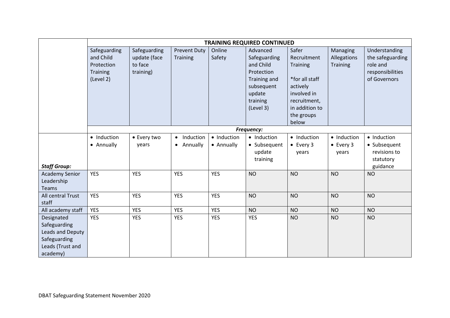|                                                                                                | <b>TRAINING REQUIRED CONTINUED</b>                               |                                                      |                                                 |                           |                                                                                                                      |                                                                                                                                        |                                           |                                                                                   |
|------------------------------------------------------------------------------------------------|------------------------------------------------------------------|------------------------------------------------------|-------------------------------------------------|---------------------------|----------------------------------------------------------------------------------------------------------------------|----------------------------------------------------------------------------------------------------------------------------------------|-------------------------------------------|-----------------------------------------------------------------------------------|
|                                                                                                | Safeguarding<br>and Child<br>Protection<br>Training<br>(Level 2) | Safeguarding<br>update (face<br>to face<br>training) | <b>Prevent Duty</b><br><b>Training</b>          | Online<br>Safety          | Advanced<br>Safeguarding<br>and Child<br>Protection<br>Training and<br>subsequent<br>update<br>training<br>(Level 3) | Safer<br>Recruitment<br>Training<br>*for all staff<br>actively<br>involved in<br>recruitment,<br>in addition to<br>the groups<br>below | Managing<br>Allegations<br>Training       | Understanding<br>the safeguarding<br>role and<br>responsibilities<br>of Governors |
|                                                                                                | Frequency:                                                       |                                                      |                                                 |                           |                                                                                                                      |                                                                                                                                        |                                           |                                                                                   |
| <b>Staff Group:</b>                                                                            | • Induction<br>• Annually                                        | • Every two<br>years                                 | Induction<br>$\bullet$<br>Annually<br>$\bullet$ | • Induction<br>• Annually | • Induction<br>• Subsequent<br>update<br>training                                                                    | • Induction<br>$\bullet$ Every 3<br>years                                                                                              | • Induction<br>$\bullet$ Every 3<br>years | • Induction<br>• Subsequent<br>revisions to<br>statutory<br>guidance              |
| <b>Academy Senior</b><br>Leadership<br><b>Teams</b>                                            | <b>YES</b>                                                       | <b>YES</b>                                           | <b>YES</b>                                      | <b>YES</b>                | <b>NO</b>                                                                                                            | <b>NO</b>                                                                                                                              | <b>NO</b>                                 | <b>NO</b>                                                                         |
| All central Trust<br>staff                                                                     | <b>YES</b>                                                       | <b>YES</b>                                           | <b>YES</b>                                      | <b>YES</b>                | <b>NO</b>                                                                                                            | <b>NO</b>                                                                                                                              | <b>NO</b>                                 | <b>NO</b>                                                                         |
| All academy staff                                                                              | <b>YES</b>                                                       | <b>YES</b>                                           | <b>YES</b>                                      | <b>YES</b>                | <b>NO</b>                                                                                                            | <b>NO</b>                                                                                                                              | <b>NO</b>                                 | <b>NO</b>                                                                         |
| Designated<br>Safeguarding<br>Leads and Deputy<br>Safeguarding<br>Leads (Trust and<br>academy) | <b>YES</b>                                                       | <b>YES</b>                                           | <b>YES</b>                                      | <b>YES</b>                | <b>YES</b>                                                                                                           | <b>NO</b>                                                                                                                              | <b>NO</b>                                 | <b>NO</b>                                                                         |